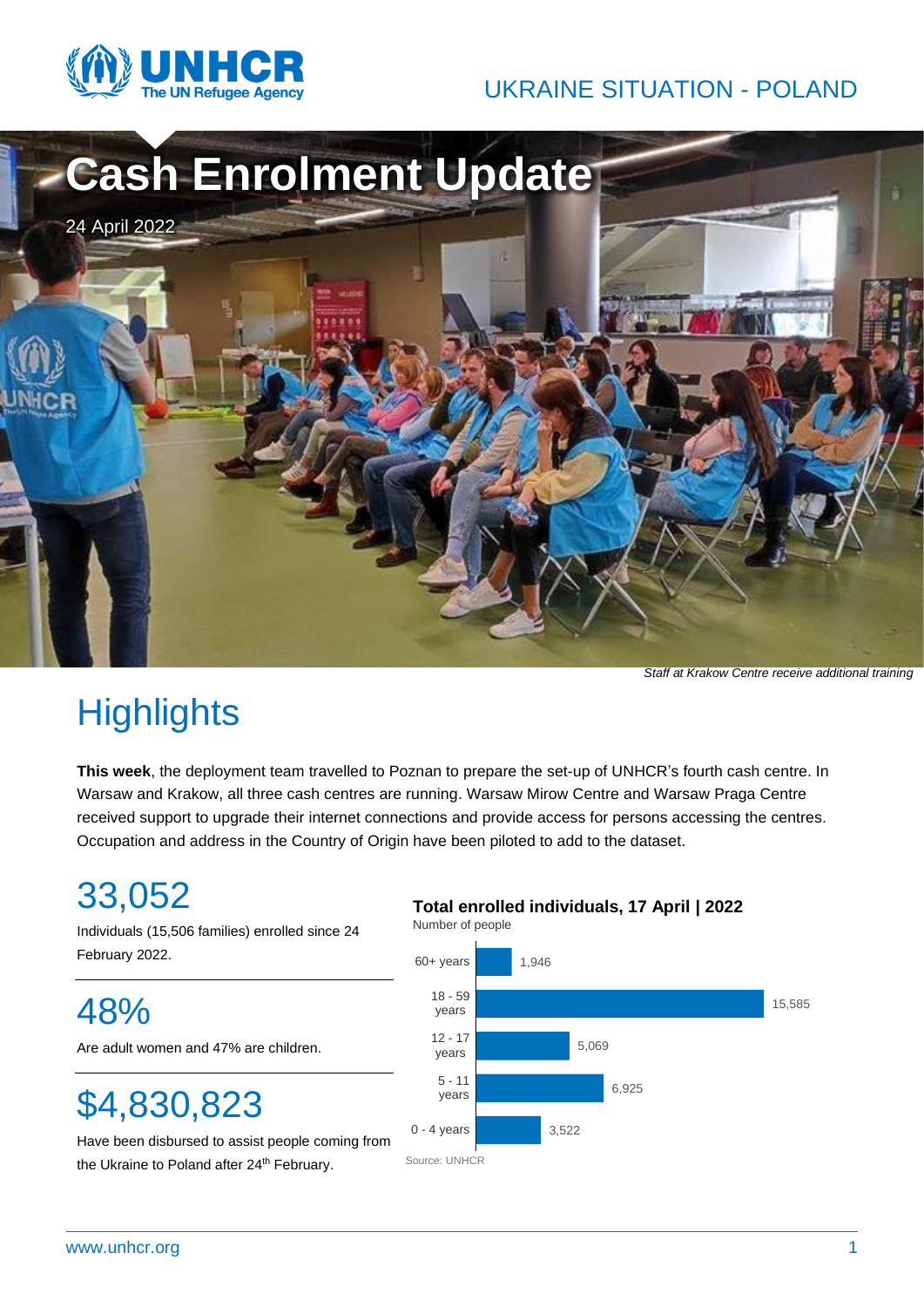

### UKRAINE SITUATION - POLAND



*Staff at Krakow Centre receive additional training*

# **Highlights**

**This week**, the deployment team travelled to Poznan to prepare the set-up of UNHCR's fourth cash centre. In Warsaw and Krakow, all three cash centres are running. Warsaw Mirow Centre and Warsaw Praga Centre received support to upgrade their internet connections and provide access for persons accessing the centres. Occupation and address in the Country of Origin have been piloted to add to the dataset.

# 33,052

Individuals (15,506 families) enrolled since 24 February 2022.

48%

Are adult women and 47% are children.

# \$4,830,823

Have been disbursed to assist people coming from the Ukraine to Poland after 24<sup>th</sup> February.

#### **Total enrolled individuals, 17 April | 2022**